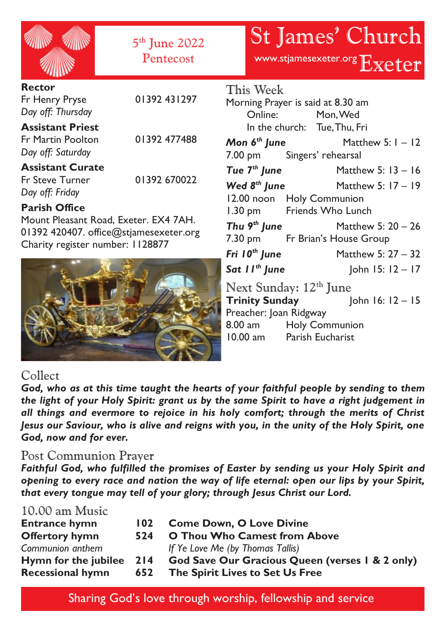|                                                                                                                                             | 5 <sup>th</sup> June 2022<br>Pentecost |                                                                                                                     | <b>St James' Church</b><br>www.stjamesexeter.org Exeter                                                     |
|---------------------------------------------------------------------------------------------------------------------------------------------|----------------------------------------|---------------------------------------------------------------------------------------------------------------------|-------------------------------------------------------------------------------------------------------------|
| <b>Rector</b><br>Fr Henry Pryse<br>Day off: Thursday                                                                                        | 01392 431297                           | This Week<br>Morning Prayer is said at 8.30 am<br>Online: Mon, Wed                                                  |                                                                                                             |
| <b>Assistant Priest</b><br><b>Fr Martin Poolton</b><br>Day off: Saturday                                                                    | 01392 477488                           | 7.00 pm Singers' rehearsal                                                                                          | In the church: Tue, Thu, Fri<br><b>Mon <math>6th</math> June</b> Matthew 5: $1 - 12$                        |
| <b>Assistant Curate</b><br>Fr Steve Turner<br>Day off: Friday                                                                               | 01392 670022                           | 12.00 noon Holy Communion                                                                                           | Tue $7th$ June Matthew 5: 13 - 16<br>Wed $8^{th}$ June Matthew 5: $17 - 19$                                 |
| <b>Parish Office</b><br>Mount Pleasant Road, Exeter. EX4 7AH.<br>01392 420407. office@stjamesexeter.org<br>Charity register number: 1128877 |                                        | 1.30 pm Friends Who Lunch<br>Fri 10 <sup>th</sup> June                                                              | <b>Thu 9<sup>th</sup> June</b> Matthew 5: $20 - 26$<br>7.30 pm Fr Brian's House Group<br>Matthew 5: 27 - 32 |
|                                                                                                                                             |                                        | Next Sunday: 12 <sup>th</sup> June<br>Preacher: Joan Ridgway<br>8.00 am Holy Communion<br>10.00 am Parish Eucharist | <b>Sat II<sup>th</sup> June</b> John 15: $12 - 17$<br>Trinity Sunday $\qquad$ John 16: 12 - 15              |

# Collect

*God, who as at this time taught the hearts of your faithful people by sending to them the light of your Holy Spirit: grant us by the same Spirit to have a right judgement in all things and evermore to rejoice in his holy comfort; through the merits of Christ Jesus our Saviour, who is alive and reigns with you, in the unity of the Holy Spirit, one God, now and for ever.*

## Post Communion Prayer

*Faithful God, who fulfilled the promises of Easter by sending us your Holy Spirit and opening to every race and nation the way of life eternal: open our lips by your Spirit, that every tongue may tell of your glory; through Jesus Christ our Lord.*

## 10.00 am Music

| <b>Entrance hymn</b><br><b>Offertory hymn</b> | 102<br>524 | <b>Come Down, O Love Divine</b><br><b>O Thou Who Camest from Above</b> |
|-----------------------------------------------|------------|------------------------------------------------------------------------|
| Communion anthem                              |            | If Ye Love Me (by Thomas Tallis)                                       |
| Hymn for the jubilee 214                      |            | God Save Our Gracious Queen (verses 1 & 2 only)                        |
| <b>Recessional hymn</b>                       | 652        | The Spirit Lives to Set Us Free                                        |

Sharing God's love through worship, fellowship and service